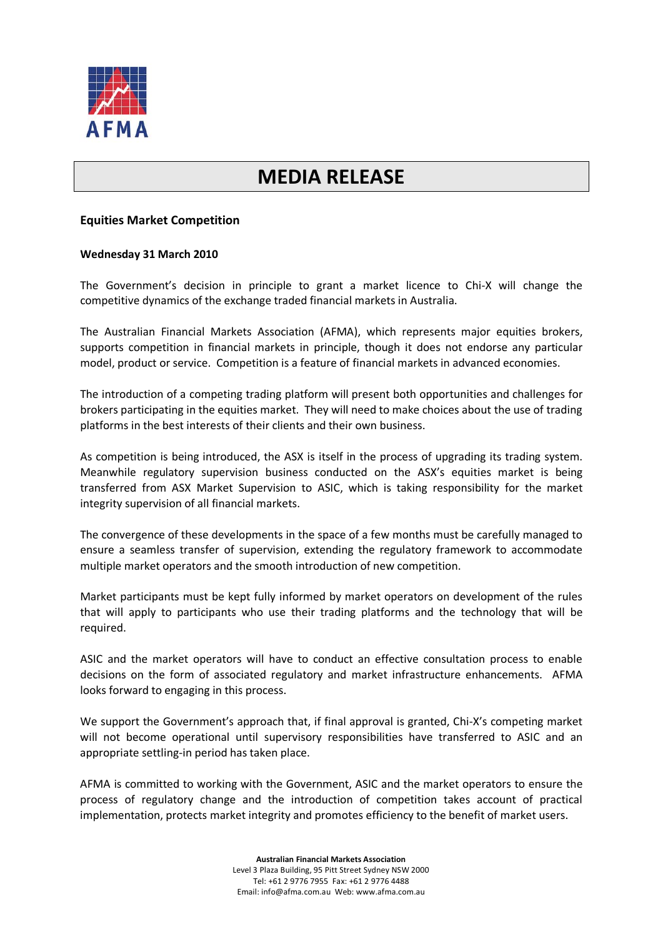

## **MEDIA RELEASE**

## **Equities Market Competition**

## **Wednesday 31 March 2010**

The Government's decision in principle to grant a market licence to Chi-X will change the competitive dynamics of the exchange traded financial markets in Australia.

The Australian Financial Markets Association (AFMA), which represents major equities brokers, supports competition in financial markets in principle, though it does not endorse any particular model, product or service. Competition is a feature of financial markets in advanced economies.

The introduction of a competing trading platform will present both opportunities and challenges for brokers participating in the equities market. They will need to make choices about the use of trading platforms in the best interests of their clients and their own business.

As competition is being introduced, the ASX is itself in the process of upgrading its trading system. Meanwhile regulatory supervision business conducted on the ASX's equities market is being transferred from ASX Market Supervision to ASIC, which is taking responsibility for the market integrity supervision of all financial markets.

The convergence of these developments in the space of a few months must be carefully managed to ensure a seamless transfer of supervision, extending the regulatory framework to accommodate multiple market operators and the smooth introduction of new competition.

Market participants must be kept fully informed by market operators on development of the rules that will apply to participants who use their trading platforms and the technology that will be required.

ASIC and the market operators will have to conduct an effective consultation process to enable decisions on the form of associated regulatory and market infrastructure enhancements. AFMA looks forward to engaging in this process.

We support the Government's approach that, if final approval is granted, Chi-X's competing market will not become operational until supervisory responsibilities have transferred to ASIC and an appropriate settling-in period has taken place.

AFMA is committed to working with the Government, ASIC and the market operators to ensure the process of regulatory change and the introduction of competition takes account of practical implementation, protects market integrity and promotes efficiency to the benefit of market users.